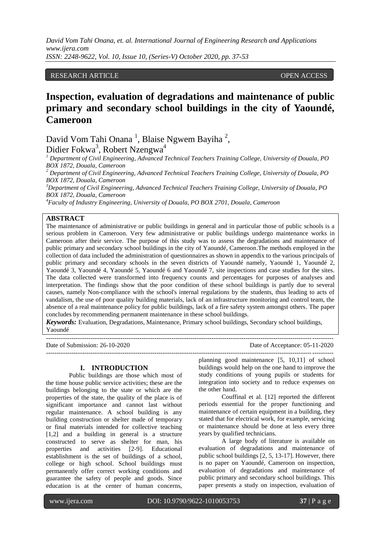# RESEARCH ARTICLE **CONTRACT ARTICLE** AND LOGISTAL CONTRACT OPEN ACCESS **OPEN**

# **Inspection, evaluation of degradations and maintenance of public primary and secondary school buildings in the city of Yaoundé, Cameroon**

David Vom Tahi Onana<sup>1</sup>, Blaise Ngwem Bayiha<sup>2</sup>, Didier Fokwa<sup>3</sup>, Robert Nzengwa<sup>4</sup>

*<sup>1</sup> Department of Civil Engineering, Advanced Technical Teachers Training College, University of Douala, PO BOX 1872, Douala, Cameroon*

*<sup>2</sup> Department of Civil Engineering, Advanced Technical Teachers Training College, University of Douala, PO BOX 1872, Douala, Cameroon*

*<sup>3</sup>Department of Civil Engineering, Advanced Technical Teachers Training College, University of Douala, PO BOX 1872, Douala, Cameroon*

*<sup>4</sup>Faculty of Industry Engineering, University of Douala, PO BOX 2701, Douala, Cameroon*

## **ABSTRACT**

The maintenance of administrative or public buildings in general and in particular those of public schools is a serious problem in Cameroon. Very few administrative or public buildings undergo maintenance works in Cameroon after their service. The purpose of this study was to assess the degradations and maintenance of public primary and secondary school buildings in the city of Yaoundé, Cameroon.The methods employed in the collection of data included the administration of questionnaires as shown in appendix to the various principals of public primary and secondary schools in the seven districts of Yaoundé namely, Yaoundé 1, Yaoundé 2, Yaoundé 3, Yaoundé 4, Yaoundé 5, Yaoundé 6 and Yaoundé 7, site inspections and case studies for the sites. The data collected were transformed into frequency counts and percentages for purposes of analyses and interpretation. The findings show that the poor condition of these school buildings is partly due to several causes, namely Non-compliance with the school's internal regulations by the students, thus leading to acts of vandalism, the use of poor quality building materials, lack of an infrastructure monitoring and control team, the absence of a real maintenance policy for public buildings, lack of a fire safety system amongst others. The paper concludes by recommending permanent maintenance in these school buildings.

*Keywords:* Evaluation, Degradations, Maintenance, Primary school buildings, Secondary school buildings, Yaoundé

---------------------------------------------------------------------------------------------------------------------------------------

---------------------------------------------------------------------------------------------------------------------------------------

Date of Submission: 26-10-2020 Date of Acceptance: 05-11-2020

## **I. INTRODUCTION**

Public buildings are those which most of the time house public service activities; these are the buildings belonging to the state or which are the properties of the state, the quality of the place is of significant importance and cannot last without regular maintenance. A school building is any building construction or shelter made of temporary or final materials intended for collective teaching [1,2] and a building in general is a structure constructed to serve as shelter for man, his properties and activities [2-9]. Educational establishment is the set of buildings of a school, college or high school. School buildings must permanently offer correct working conditions and guarantee the safety of people and goods. Since education is at the center of human concerns,

planning good maintenance [5, 10,11] of school buildings would help on the one hand to improve the study conditions of young pupils or students for integration into society and to reduce expenses on the other hand.

Couffinal et al. [12] reported the different periods essential for the proper functioning and maintenance of certain equipment in a building, they stated that for electrical work, for example, servicing or maintenance should be done at less every three years by qualified technicians.

A large body of literature is available on evaluation of degradations and maintenance of public school buildings [2, 5, 13-17]. However, there is no paper on Yaoundé, Cameroon on inspection, evaluation of degradations and maintenance of public primary and secondary school buildings. This paper presents a study on inspection, evaluation of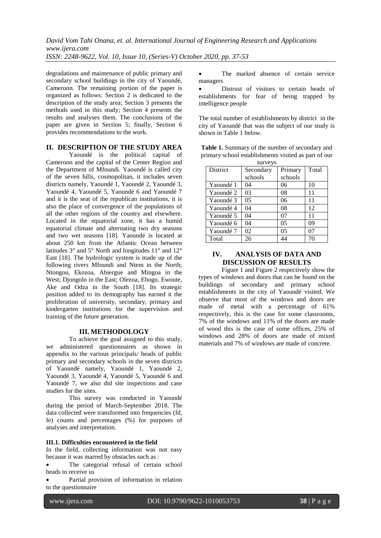degradations and maintenance of public primary and secondary school buildings in the city of Yaoundé, Cameroon. The remaining portion of the paper is organized as follows: Section 2 is dedicated to the description of the study area; Section 3 presents the methods used in this study; Section 4 presents the results and analyses them. The conclusions of the paper are given in Section 5; finally, Section 6 provides recommendations to the work.

## **II. DESCRIPTION OF THE STUDY AREA**

Yaoundé is the political capital of Cameroon and the capital of the Center Region and the Department of Mfoundi. Yaoundé is called city of the seven hills, cosmopolitan, it includes seven districts namely, Yaoundé 1, Yaoundé 2, Yaoundé 3, Yaoundé 4, Yaoundé 5, Yaoundé 6 and Yaoundé 7 and it is the seat of the republican institutions, it is also the place of convergence of the populations of all the other regions of the country and elsewhere. Located in the equatorial zone, it has a humid equatorial climate and alternating two dry seasons and two wet seasons [18]. Yaoundé is located at about 250 km from the Atlantic Ocean between latitudes 3° and 5° North and longitudes 11° and 12° East [18]. The hydrologic system is made up of the following rivers Mfoundi and Ntem in the North; Ntongou, Ekozoa, Abiergue and Mingoa in the West; Djongolo in the East; Olezoa, Ebogo, Ewoute, Ake and Odza in the South [18]. Its strategic position added to its demography has earned it the proliferation of university, secondary, primary and kindergarten institutions for the supervision and training of the future generation.

## **III. METHODOLOGY**

To achieve the goal assigned to this study, we administered questionnaires as shown in appendix to the various principals/ heads of public primary and secondary schools in the seven districts of Yaoundé namely, Yaoundé 1, Yaoundé 2, Yaoundé 3, Yaoundé 4, Yaoundé 5, Yaoundé 6 and Yaoundé 7, we also did site inspections and case studies for the sites.

This survey was conducted in Yaoundé during the period of March-September 2018. The data collected were transformed into frequencies (fd, fe) counts and percentages (%) for purposes of analyses and interpretation.

#### **III.1. Difficulties encountered in the field**

In the field, collecting information was not easy because it was marred by obstacles such as :

 The categorial refusal of certain school heads to receive us

 Partial provision of information in relation to the questionnaire

 The marked absence of certain service managers

 Distrust of visitors to certain heads of establishments for fear of being trapped by intelligence people

The total number of establishments by district in the city of Yaoundé that was the subject of our study is shown in Table 1 below.

| <b>Table 1.</b> Summary of the number of secondary and |
|--------------------------------------------------------|
| primary school establishments visited as part of our   |

|           | surveys        |                |       |
|-----------|----------------|----------------|-------|
| District  | Secondary      | Primary        | Total |
|           | schools        | schools        |       |
| Yaoundé 1 | 04             | 06             | 10    |
| Yaoundé 2 | 03             | 08             | 11    |
| Yaoundé 3 | 0 <sub>5</sub> | 06             | 11    |
| Yaoundé 4 | 04             | 08             | 12    |
| Yaoundé 5 | 04             | 07             | 11    |
| Yaoundé 6 | 04             | 0 <sub>5</sub> | 09    |
| Yaoundé 7 | 02             | 05             | 07    |
| Total     | 26             | 44             | 70    |

# **IV. ANALYSIS OF DATA AND DISCUSSION OF RESULTS**

Figure 1 and Figure 2 respectively show the types of windows and doors that can be found on the buildings of secondary and primary school establishments in the city of Yaoundé visited. We observe that most of the windows and doors are made of metal with a percentage of 61% respectively, this is the case for some classrooms, 7% of the windows and 11% of the doors are made of wood this is the case of some offices, 25% of windows and 28% of doors are made of mixed materials and 7% of windows are made of concrete.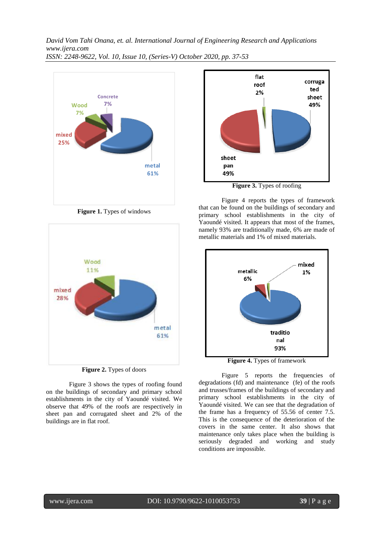

**Figure 1.** Types of windows





Figure 3 shows the types of roofing found on the buildings of secondary and primary school establishments in the city of Yaoundé visited. We observe that 49% of the roofs are respectively in sheet pan and corrugated sheet and 2% of the buildings are in flat roof.



**Figure 3.** Types of roofing

Figure 4 reports the types of framework that can be found on the buildings of secondary and primary school establishments in the city of Yaoundé visited. It appears that most of the frames, namely 93% are traditionally made, 6% are made of metallic materials and 1% of mixed materials.



**Figure 4.** Types of framework

Figure 5 reports the frequencies of degradations (fd) and maintenance (fe) of the roofs and trusses/frames of the buildings of secondary and primary school establishments in the city of Yaoundé visited. We can see that the degradation of the frame has a frequency of 55.56 of center 7.5. This is the consequence of the deterioration of the covers in the same center. It also shows that maintenance only takes place when the building is seriously degraded and working and study conditions are impossible.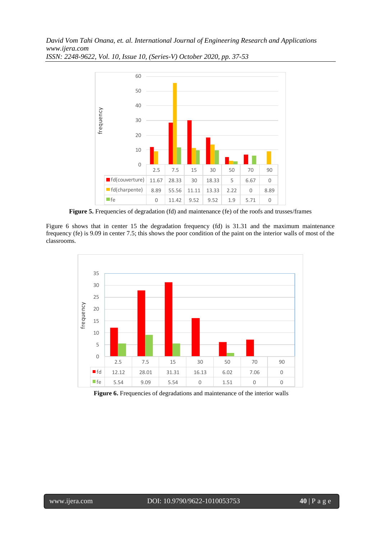

**Figure 5.** Frequencies of degradation (fd) and maintenance (fe) of the roofs and trusses/frames

Figure 6 shows that in center 15 the degradation frequency (fd) is 31.31 and the maximum maintenance frequency (fe) is 9.09 in center 7.5; this shows the poor condition of the paint on the interior walls of most of the classrooms.



**Figure 6.** Frequencies of degradations and maintenance of the interior walls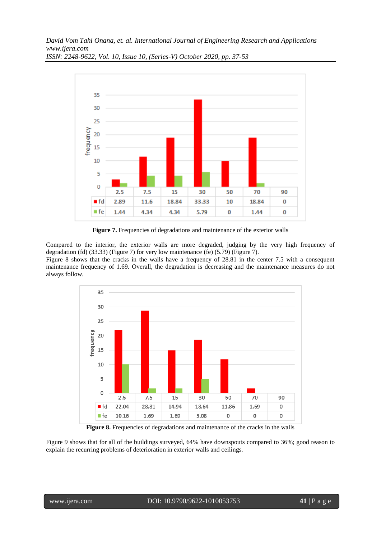

*ISSN: 2248-9622, Vol. 10, Issue 10, (Series-V) October 2020, pp. 37-53*

Figure 7. Frequencies of degradations and maintenance of the exterior walls

Compared to the interior, the exterior walls are more degraded, judging by the very high frequency of degradation (fd) (33.33) (Figure 7) for very low maintenance (fe) (5.79) (Figure 7).

Figure 8 shows that the cracks in the walls have a frequency of 28.81 in the center 7.5 with a consequent maintenance frequency of 1.69. Overall, the degradation is decreasing and the maintenance measures do not always follow.



**Figure 8.** Frequencies of degradations and maintenance of the cracks in the walls

Figure 9 shows that for all of the buildings surveyed, 64% have downspouts compared to 36%; good reason to explain the recurring problems of deterioration in exterior walls and ceilings.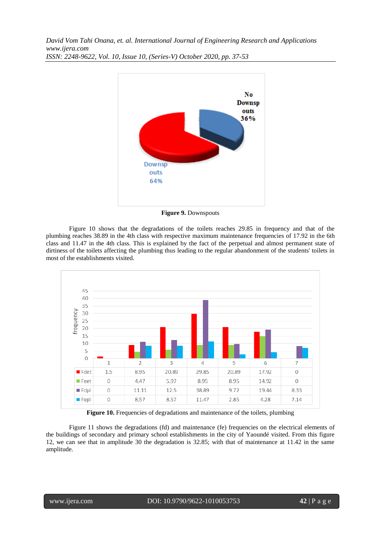

**Figure 9.** Downspouts

Figure 10 shows that the degradations of the toilets reaches 29.85 in frequency and that of the plumbing reaches 38.89 in the 4th class with respective maximum maintenance frequencies of 17.92 in the 6th class and 11.47 in the 4th class. This is explained by the fact of the perpetual and almost permanent state of dirtiness of the toilets affecting the plumbing thus leading to the regular abandonment of the students' toilets in most of the establishments visited.



**Figure 10.** Frequencies of degradations and maintenance of the toilets, plumbing

Figure 11 shows the degradations (fd) and maintenance (fe) frequencies on the electrical elements of the buildings of secondary and primary school establishments in the city of Yaoundé visited. From this figure 12, we can see that in amplitude 30 the degradation is 32.85; with that of maintenance at 11.42 in the same amplitude.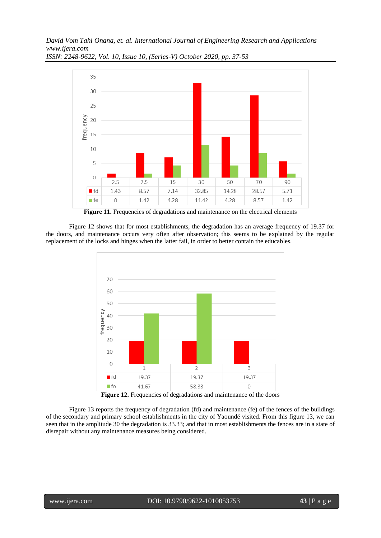

*ISSN: 2248-9622, Vol. 10, Issue 10, (Series-V) October 2020, pp. 37-53*

Figure 11. Frequencies of degradations and maintenance on the electrical elements

Figure 12 shows that for most establishments, the degradation has an average frequency of 19.37 for the doors, and maintenance occurs very often after observation; this seems to be explained by the regular replacement of the locks and hinges when the latter fail, in order to better contain the educables.



Figure 12. Frequencies of degradations and maintenance of the doors

Figure 13 reports the frequency of degradation (fd) and maintenance (fe) of the fences of the buildings of the secondary and primary school establishments in the city of Yaoundé visited. From this figure 13, we can seen that in the amplitude 30 the degradation is 33.33; and that in most establishments the fences are in a state of disrepair without any maintenance measures being considered.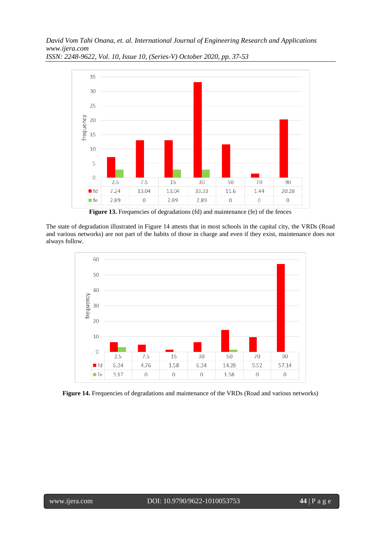

*ISSN: 2248-9622, Vol. 10, Issue 10, (Series-V) October 2020, pp. 37-53*

Figure 13. Frequencies of degradations (fd) and maintenance (fe) of the fences

The state of degradation illustrated in Figure 14 attests that in most schools in the capital city, the VRDs (Road and various networks) are not part of the habits of those in charge and even if they exist, maintenance does not always follow.



**Figure 14.** Frequencies of degradations and maintenance of the VRDs (Road and various networks)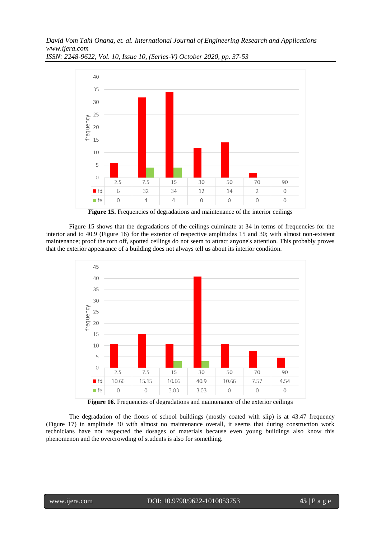

*ISSN: 2248-9622, Vol. 10, Issue 10, (Series-V) October 2020, pp. 37-53*

Figure 15. Frequencies of degradations and maintenance of the interior ceilings

Figure 15 shows that the degradations of the ceilings culminate at 34 in terms of frequencies for the interior and to 40.9 (Figure 16) for the exterior of respective amplitudes 15 and 30; with almost non-existent maintenance; proof the torn off, spotted ceilings do not seem to attract anyone's attention. This probably proves that the exterior appearance of a building does not always tell us about its interior condition.



Figure 16. Frequencies of degradations and maintenance of the exterior ceilings

The degradation of the floors of school buildings (mostly coated with slip) is at 43.47 frequency (Figure 17) in amplitude 30 with almost no maintenance overall, it seems that during construction work technicians have not respected the dosages of materials because even young buildings also know this phenomenon and the overcrowding of students is also for something.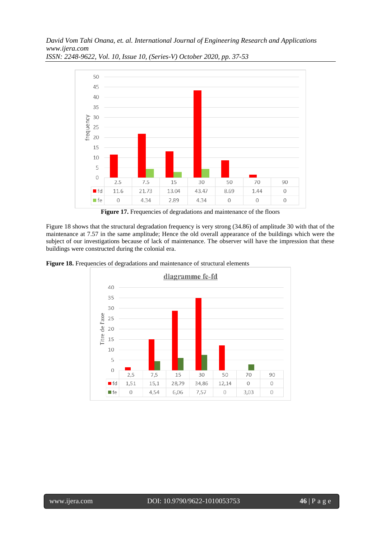

*ISSN: 2248-9622, Vol. 10, Issue 10, (Series-V) October 2020, pp. 37-53*

Figure 17. Frequencies of degradations and maintenance of the floors

Figure 18 shows that the structural degradation frequency is very strong (34.86) of amplitude 30 with that of the maintenance at 7.57 in the same amplitude; Hence the old overall appearance of the buildings which were the subject of our investigations because of lack of maintenance. The observer will have the impression that these buildings were constructed during the colonial era.



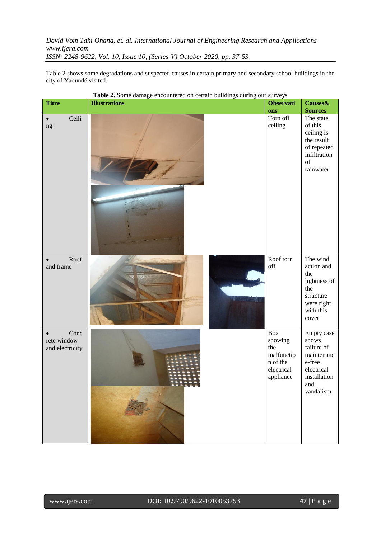Table 2 shows some degradations and suspected causes in certain primary and secondary school buildings in the city of Yaoundé visited.

| <b>Titre</b>                           | <b>Table 2.</b> Some damage encountered on certain bundings during our surveys<br><b>Illustrations</b> | <b>Observati</b>                                                                 | Causes&                                                                                                     |
|----------------------------------------|--------------------------------------------------------------------------------------------------------|----------------------------------------------------------------------------------|-------------------------------------------------------------------------------------------------------------|
|                                        |                                                                                                        | ons                                                                              | <b>Sources</b>                                                                                              |
| Ceili<br>$\bullet$<br>$\rm ng$         |                                                                                                        | Torn off<br>ceiling                                                              | The state<br>of this<br>ceiling is<br>the result<br>of repeated<br>infiltration<br>of<br>rainwater          |
| Roof<br>and frame                      |                                                                                                        | Roof torn<br>off                                                                 | The wind<br>action and<br>the<br>lightness of<br>the<br>structure<br>were right<br>with this<br>cover       |
| Conc<br>rete window<br>and electricity |                                                                                                        | $\rm Box$<br>showing<br>the<br>malfunctio<br>n of the<br>electrical<br>appliance | Empty case<br>shows<br>failure of<br>maintenanc<br>e-free<br>electrical<br>installation<br>and<br>vandalism |

**Table 2.** Some damage encountered on certain buildings during our surveys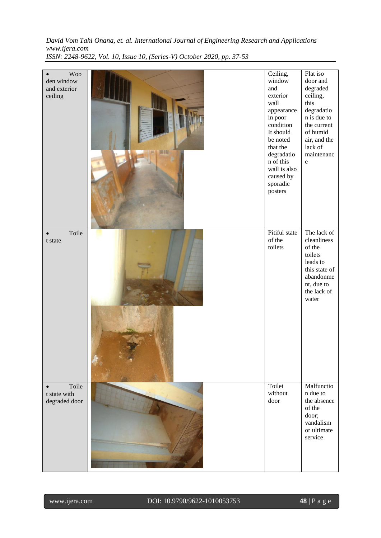| <b>Woo</b><br>den window |            | Ceiling,<br>window      | Flat iso<br>door and      |
|--------------------------|------------|-------------------------|---------------------------|
| and exterior             |            | and                     | degraded                  |
| ceiling                  |            | exterior                | ceiling,                  |
|                          |            | wall                    | this                      |
|                          |            | appearance<br>in poor   | degradatio<br>n is due to |
|                          |            | condition               | the current               |
|                          |            | It should               | of humid                  |
|                          |            | be noted                | air, and the              |
|                          | <b>MIN</b> | that the<br>degradation | lack of<br>maintenanc     |
|                          |            | n of this               | $\rm e$                   |
|                          |            | wall is also            |                           |
|                          |            | caused by               |                           |
|                          |            | sporadic                |                           |
|                          |            | posters                 |                           |
|                          |            |                         |                           |
|                          |            |                         |                           |
|                          |            |                         |                           |
| Toile                    |            | Pitiful state           | The lack of               |
| t state                  |            | of the<br>toilets       | cleanliness<br>of the     |
|                          |            |                         | toilets                   |
|                          |            |                         | leads to                  |
|                          |            |                         | this state of             |
|                          |            |                         | abandonme<br>nt, due to   |
|                          |            |                         | the lack of               |
|                          |            |                         | water                     |
|                          |            |                         |                           |
|                          |            |                         |                           |
|                          |            |                         |                           |
|                          |            |                         |                           |
|                          |            |                         |                           |
|                          |            |                         |                           |
|                          |            |                         |                           |
|                          |            |                         |                           |
| Toile                    |            | Toilet                  | Malfunctio                |
| t state with             |            | without                 | n due to                  |
| degraded door            |            | door                    | the absence<br>of the     |
|                          |            |                         | door;                     |
|                          |            |                         | vandalism                 |
|                          |            |                         | or ultimate               |
|                          |            |                         | service                   |
|                          |            |                         |                           |
|                          |            |                         |                           |
|                          |            |                         |                           |

www.ijera.com DOI: 10.9790/9622-1010053753 **48** | P a g e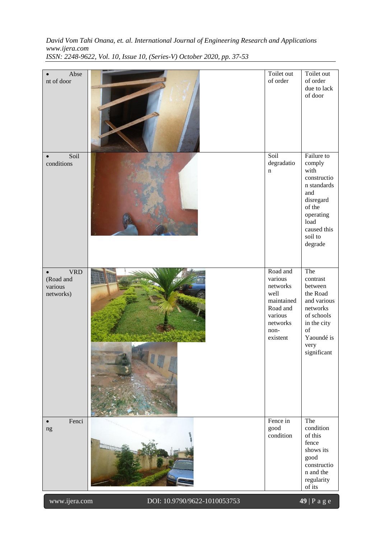| Abse<br>nt of door                                           |                              | Toilet out<br>of order                                                                                       | Toilet out<br>of order<br>due to lack<br>of door                                                                                                   |
|--------------------------------------------------------------|------------------------------|--------------------------------------------------------------------------------------------------------------|----------------------------------------------------------------------------------------------------------------------------------------------------|
| Soil<br>conditions                                           |                              | Soil<br>degradatio<br>$\mathbf n$                                                                            | Failure to<br>comply<br>with<br>constructio<br>n standards<br>and<br>disregard<br>of the<br>operating<br>load<br>caused this<br>soil to<br>degrade |
| <b>VRD</b><br>$\bullet$<br>(Road and<br>various<br>networks) |                              | Road and<br>various<br>networks<br>well<br>maintained<br>Road and<br>various<br>networks<br>non-<br>existent | The<br>contrast<br>between<br>the Road<br>and various<br>networks<br>of schools<br>in the city<br>of<br>Yaoundé is<br>very<br>significant          |
| Fenci<br>ng                                                  |                              | Fence in<br>good<br>condition                                                                                | The<br>condition<br>of this<br>fence<br>shows its<br>good<br>constructio<br>n and the<br>regularity<br>of its                                      |
| www.ijera.com                                                | DOI: 10.9790/9622-1010053753 |                                                                                                              | 49   P a g e                                                                                                                                       |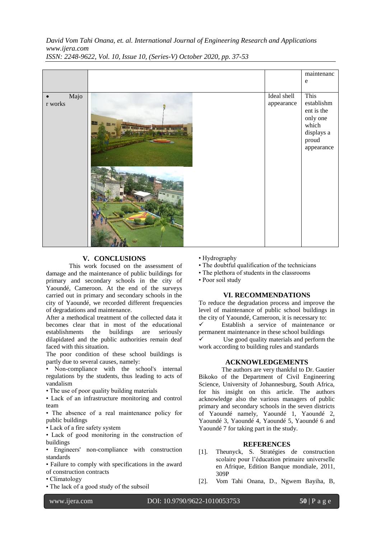|                       |                           | maintenanc<br>${\rm e}$                                                                    |
|-----------------------|---------------------------|--------------------------------------------------------------------------------------------|
| Majo<br>$\bf r$ works | Ideal shell<br>appearance | This<br>establishm<br>ent is the<br>only one<br>which<br>displays a<br>proud<br>appearance |

# **V. CONCLUSIONS**

This work focused on the assessment of damage and the maintenance of public buildings for primary and secondary schools in the city of Yaoundé, Cameroon. At the end of the surveys carried out in primary and secondary schools in the city of Yaoundé, we recorded different frequencies of degradations and maintenance.

After a methodical treatment of the collected data it becomes clear that in most of the educational establishments the buildings are seriously dilapidated and the public authorities remain deaf faced with this situation.

The poor condition of these school buildings is partly due to several causes, namely:

• Non-compliance with the school's internal regulations by the students, thus leading to acts of vandalism

• The use of poor quality building materials

• Lack of an infrastructure monitoring and control team

• The absence of a real maintenance policy for public buildings

• Lack of a fire safety system

• Lack of good monitoring in the construction of buildings

• Engineers' non-compliance with construction standards

• Failure to comply with specifications in the award of construction contracts

- Climatology
- The lack of a good study of the subsoil
- Hydrography
- The doubtful qualification of the technicians
- The plethora of students in the classrooms
- Poor soil study

#### **VI. RECOMMENDATIONS**

To reduce the degradation process and improve the level of maintenance of public school buildings in the city of Yaoundé, Cameroon, it is necessary to: Establish a service of maintenance or permanent maintenance in these school buildings

 $\checkmark$  Use good quality materials and perform the work according to building rules and standards

#### **ACKNOWLEDGEMENTS**

The authors are very thankful to Dr. Gautier Bikoko of the Department of Civil Engineering Science, University of Johannesburg, South Africa, for his insight on this article. The authors acknowledge also the various managers of public primary and secondary schools in the seven districts of Yaoundé namely, Yaoundé 1, Yaoundé 2, Yaoundé 3, Yaoundé 4, Yaoundé 5, Yaoundé 6 and Yaoundé 7 for taking part in the study.

### **REFERENCES**

- [1]. Theunyck, S. Stratégies de construction scolaire pour l'éducation primaire universelle en Afrique, Edition Banque mondiale, 2011, 309P
- [2]. Vom Tahi Onana, D., Ngwem Bayiha, B,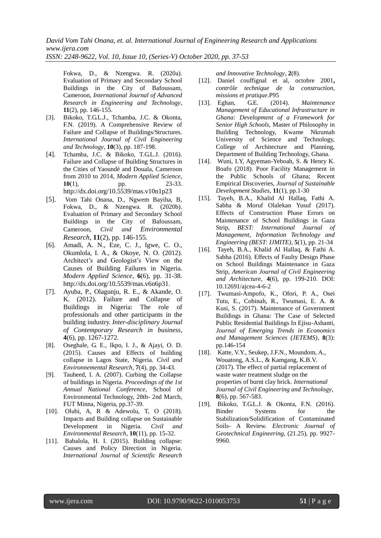*ISSN: 2248-9622, Vol. 10, Issue 10, (Series-V) October 2020, pp. 37-53*

Fokwa, D., & Nzengwa. R. (2020a). Evaluation of Primary and Secondary School Buildings in the City of Bafoussam, Cameroon, *International Journal of Advanced Research in Engineering and Technology*, **11**(2), pp. 146-155.

- [3]. Bikoko, T.G.L.J., Tchamba, J.C. & Okonta, F.N. (2019). A Comprehensive Review of Failure and Collapse of Buildings/Structures. *International Journal of Civil Engineering and Technology*, **10**(3), pp. 187-198.
- [4]. Tchamba, J.C. & Bikoko, T.G.L.J. (2016). Failure and Collapse of Building Structures in the Cities of Yaoundé and Douala, Cameroon from 2010 to 2014, *Modern Applied Science*, **10**(1), pp. 23-33. <http://dx.doi.org/10.5539/mas.v10n1p23>
- [5]. Vom Tahi Onana, D., Ngwem Bayiha, B, Fokwa, D., & Nzengwa. R. (2020b). Evaluation of Primary and Secondary School Buildings in the City of Bafoussam, Cameroon, *Civil and Environmental Research*, **11**(2), pp. 146-155.
- [6]. Amadi, A. N., Eze, C. J., Igwe, C. O., Okumlola, I. A., & Okoye, N. O. (2012). Architect's and Geologist's View on the Causes of Building Failures in Nigeria. *Modern Applied Science*, **6**(6), pp. 31-38. [http://dx.doi.org/10.5539/mas.v6n6p31.](http://dx.doi.org/10.5539/mas.v6n6p31)
- [7]. Ayuba, P., Olagunju, R. E., & Akande, O. K. (2012). Failure and Collapse of Buildings in Nigeria: The role of professionals and other participants in the building industry. *Inter-disciplinary Journal of Contemporary Research in business*, **4**(6), pp. 1267-1272.
- [8]. Oseghale, G. E., Ikpo, I. J., & Ajayi, O. D. (2015). Causes and Effects of building collapse in Lagos State, Nigeria. *Civil and Environnemental Research*, **7**(4), pp. 34-43.
- [9]. Tauheed, I. A. (2007). Curbing the Collapse of buildings in Nigeria. *Proceedings of the 1st Annual National Conference*, School of Environmental Technology, 28th- 2nd March, FUT Minna, Nigeria, pp.37-39.
- [10]. Olubi, A, R & Adewolu, T, O (2018). Impacts and Building collapse on Sustainable Development in Nigeria. *Civil and Environmental Research*, **10**(11), pp. 15-32.
- [11]. Babalola, H. I. (2015). Building collapse: Causes and Policy Direction in Nigeria. *International Journal of Scientific Research*

*and Innovative Technology*, **2**(8).

- [12]. Daniel couffignal et al, octobre 2001**,**  *contrôle technique de la construction,*  missions et pratique.P95<br>Eghan. **G.E.** (20)
- [13]. Eghan, G.E. (2014). *Maintenance Management of Educational Infrastructure in Ghana: Development of a Framework for Senior High Schools*, Master of Philosophy in Building Technology, Kwame Nkrumah University of Science and Technology, College of Architecture and Planning, Department of Building Technology, Ghana.
- [14]. Wuni, I.Y, Agyeman-Yeboah, S. & Henry K. Boafo (2018). Poor Facility Management in the Public Schools of Ghana; Recent Empirical Discoveries, *Journal of Sustainable Development Studies*, **11**(1), pp.1-30
- [15]. Tayeh, B.A., Khalid Al Hallaq, Fathi A. Sabha & Moruf Olalekan Yusuf (2017). Effects of Construction Phase Errors on Maintenance of School Buildings in Gaza Strip, *BEST: International Journal of Management, Information Technology and Engineering (BEST: IJMITE)*, **5**(1), pp. 21-34
- [16]. Tayeh, B.A., Khalid Al Hallaq, & Fathi A. Sabha (2016). Effects of Faulty Design Phase on School Buildings Maintenance in Gaza Strip, *American Journal of Civil Engineering and Architecture*, **4**(6), pp. 199-210. DOI: 10.12691/ajcea-4-6-2
- [17]. Twumasi-Ampofo, K., Ofori, P. A., Osei Tutu, E., Cobinah, R., Twumasi, E. A. & Kusi, S. (2017). Maintenance of Government Buildings in Ghana: The Case of Selected Public Residential Buildings In Ejisu-Ashanti, *Journal of Emerging Trends in Economics and Management Sciences (JETEMS)*, **8**(3): pp.146-154
- [18]. Katte, V.Y., Seukep, J.F.N., Moundom, A., Wouatong, A.S.L., & Kamgang, K.B.V. (2017). The effect of partial replacement of waste water treatment sludge on the properties of burnt clay brick. *International Journal of Civil Engineering and Technology*, **8**(6), pp. 567-583.
- [19]. Bikoko, T.G.L.J. & Okonta, F.N. (2016). Binder Systems for the Stabilization/Solidification of Contaminated Soils- A Review. *Electronic Journal of Geotechnical Engineering*, (21.25), pp. 9927- 9960.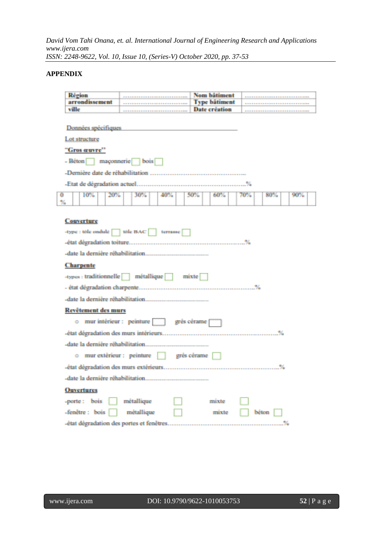# **APPENDIX**

| Région                               |                                           | Nom bätiment         |       |     |     |
|--------------------------------------|-------------------------------------------|----------------------|-------|-----|-----|
| arrondissement                       |                                           | <b>Type bâtiment</b> |       |     |     |
| ville                                |                                           | Date création        |       |     |     |
| Données spécifiques<br>Lot structure |                                           |                      |       |     |     |
| "Gros œuvre"                         |                                           |                      |       |     |     |
| - Béton maçonnerie bois              |                                           |                      |       |     |     |
|                                      |                                           |                      |       |     |     |
|                                      |                                           |                      |       |     |     |
| $\overline{0}$<br>10%<br>20%<br>%    | 30%<br>40%                                | 50%<br>60%           | 70%   | 80% | 90% |
| <b>Couverture</b>                    | -type : tole ondule   tole BAC   terrasse |                      |       |     |     |
|                                      |                                           |                      |       |     |     |
| <b>Charpente</b>                     |                                           |                      |       |     |     |
|                                      | -types : traditionnelle métallique mixte  |                      |       |     |     |
|                                      |                                           |                      |       |     |     |
|                                      |                                           |                      |       |     |     |
| Revêtement des murs                  |                                           |                      |       |     |     |
|                                      | o mur intérieur : peinture in grés cérame |                      |       |     |     |
|                                      |                                           |                      |       |     |     |
|                                      |                                           |                      |       |     |     |
|                                      | o mur extérieur : peinture   grés cérame  |                      |       |     |     |
|                                      |                                           |                      |       |     |     |
| -date la dernière réhabilitation     |                                           |                      |       |     |     |
| <b>Ouvertures</b>                    |                                           |                      |       |     |     |
| -porte: bois                         | métallique                                | mixte                |       |     |     |
| -fenêtre : bois                      | métallique                                | mixte                | béton |     |     |
|                                      |                                           |                      |       |     |     |